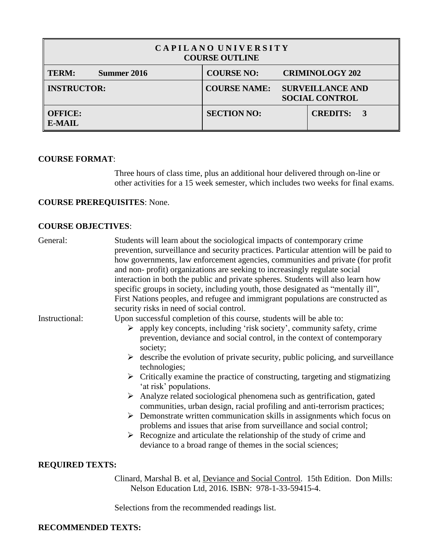| CAPILANO UNIVERSITY<br><b>COURSE OUTLINE</b> |             |                     |                                                  |                        |  |  |  |
|----------------------------------------------|-------------|---------------------|--------------------------------------------------|------------------------|--|--|--|
| <b>TERM:</b>                                 | Summer 2016 | <b>COURSE NO:</b>   |                                                  | <b>CRIMINOLOGY 202</b> |  |  |  |
| <b>INSTRUCTOR:</b>                           |             | <b>COURSE NAME:</b> | <b>SURVEILLANCE AND</b><br><b>SOCIAL CONTROL</b> |                        |  |  |  |
| <b>OFFICE:</b><br><b>E-MAIL</b>              |             | <b>SECTION NO:</b>  |                                                  | <b>CREDITS: 3</b>      |  |  |  |

## **COURSE FORMAT**:

Three hours of class time, plus an additional hour delivered through on-line or other activities for a 15 week semester, which includes two weeks for final exams.

# **COURSE PREREQUISITES**: None.

# **COURSE OBJECTIVES**:

| General:               | Students will learn about the sociological impacts of contemporary crime<br>prevention, surveillance and security practices. Particular attention will be paid to<br>how governments, law enforcement agencies, communities and private (for profit<br>and non-profit) organizations are seeking to increasingly regulate social<br>interaction in both the public and private spheres. Students will also learn how<br>specific groups in society, including youth, those designated as "mentally ill",<br>First Nations peoples, and refugee and immigrant populations are constructed as<br>security risks in need of social control.                                                                                                                                                                                                                                                                                   |
|------------------------|----------------------------------------------------------------------------------------------------------------------------------------------------------------------------------------------------------------------------------------------------------------------------------------------------------------------------------------------------------------------------------------------------------------------------------------------------------------------------------------------------------------------------------------------------------------------------------------------------------------------------------------------------------------------------------------------------------------------------------------------------------------------------------------------------------------------------------------------------------------------------------------------------------------------------|
| Instructional:         | Upon successful completion of this course, students will be able to:                                                                                                                                                                                                                                                                                                                                                                                                                                                                                                                                                                                                                                                                                                                                                                                                                                                       |
|                        | $\triangleright$ apply key concepts, including 'risk society', community safety, crime<br>prevention, deviance and social control, in the context of contemporary<br>society;<br>$\triangleright$ describe the evolution of private security, public policing, and surveillance<br>technologies;<br>$\triangleright$ Critically examine the practice of constructing, targeting and stigmatizing<br>'at risk' populations.<br>$\triangleright$ Analyze related sociological phenomena such as gentrification, gated<br>communities, urban design, racial profiling and anti-terrorism practices;<br>$\triangleright$ Demonstrate written communication skills in assignments which focus on<br>problems and issues that arise from surveillance and social control;<br>$\triangleright$ Recognize and articulate the relationship of the study of crime and<br>deviance to a broad range of themes in the social sciences; |
| <b>REQUIRED TEXTS:</b> |                                                                                                                                                                                                                                                                                                                                                                                                                                                                                                                                                                                                                                                                                                                                                                                                                                                                                                                            |
|                        |                                                                                                                                                                                                                                                                                                                                                                                                                                                                                                                                                                                                                                                                                                                                                                                                                                                                                                                            |
|                        | Clinard, Marshal B. et al, Deviance and Social Control. 15th Edition. Don Mills:<br>Nelson Education Ltd, 2016. ISBN: 978-1-33-59415-4.                                                                                                                                                                                                                                                                                                                                                                                                                                                                                                                                                                                                                                                                                                                                                                                    |

Selections from the recommended readings list.

# **RECOMMENDED TEXTS:**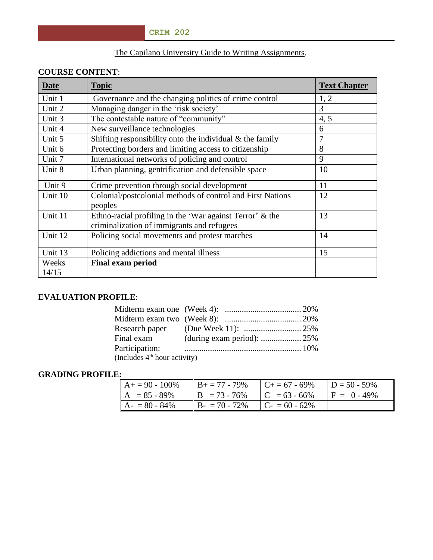# The Capilano University Guide to Writing Assignments.

# **COURSE CONTENT**:

| <b>Date</b> | <b>Topic</b>                                                                                           | <b>Text Chapter</b> |
|-------------|--------------------------------------------------------------------------------------------------------|---------------------|
| Unit 1      | Governance and the changing politics of crime control                                                  | 1, 2                |
| Unit 2      | Managing danger in the 'risk society'                                                                  | 3                   |
| Unit 3      | The contestable nature of "community"                                                                  | 4, 5                |
| Unit 4      | New surveillance technologies                                                                          | 6                   |
| Unit 5      | Shifting responsibility onto the individual $\&$ the family                                            | $\overline{7}$      |
| Unit 6      | Protecting borders and limiting access to citizenship                                                  | 8                   |
| Unit 7      | International networks of policing and control                                                         | 9                   |
| Unit 8      | Urban planning, gentrification and defensible space                                                    | 10                  |
| Unit 9      | Crime prevention through social development                                                            | 11                  |
| Unit 10     | Colonial/postcolonial methods of control and First Nations<br>peoples                                  | 12                  |
| Unit 11     | Ethno-racial profiling in the 'War against Terror' & the<br>criminalization of immigrants and refugees | 13                  |
| Unit 12     | Policing social movements and protest marches                                                          | 14                  |
| Unit 13     | Policing addictions and mental illness                                                                 | 15                  |
| Weeks       | <b>Final exam period</b>                                                                               |                     |
| 14/15       |                                                                                                        |                     |

# **EVALUATION PROFILE**:

| Participation:                           |  |
|------------------------------------------|--|
| (Includes 4 <sup>th</sup> hour activity) |  |

# **GRADING PROFILE:**

| $A+=90-100\%$   | $B_+ = 77 - 79\%$ | $C_{+} = 67 - 69\%$ | $D = 50 - 59\%$ |
|-----------------|-------------------|---------------------|-----------------|
| $A = 85 - 89\%$ | $B = 73 - 76\%$   | $C = 63 - 66\%$     | $F = 0 - 49\%$  |
| $A - 80 - 84\%$ | $B - 70 - 72\%$   | $C_{-} = 60 - 62\%$ |                 |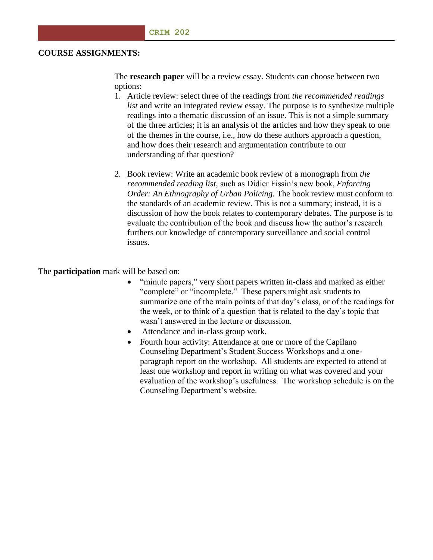#### **COURSE ASSIGNMENTS:**

The **research paper** will be a review essay. Students can choose between two options:

- 1. Article review: select three of the readings from *the recommended readings list* and write an integrated review essay. The purpose is to synthesize multiple readings into a thematic discussion of an issue. This is not a simple summary of the three articles; it is an analysis of the articles and how they speak to one of the themes in the course, i.e., how do these authors approach a question, and how does their research and argumentation contribute to our understanding of that question?
- 2. Book review: Write an academic book review of a monograph from *the recommended reading list,* such as Didier Fissin's new book, *Enforcing Order: An Ethnography of Urban Policing.* The book review must conform to the standards of an academic review. This is not a summary; instead, it is a discussion of how the book relates to contemporary debates. The purpose is to evaluate the contribution of the book and discuss how the author's research furthers our knowledge of contemporary surveillance and social control issues.

The **participation** mark will be based on:

- "minute papers," very short papers written in-class and marked as either "complete" or "incomplete." These papers might ask students to summarize one of the main points of that day's class, or of the readings for the week, or to think of a question that is related to the day's topic that wasn't answered in the lecture or discussion.
- Attendance and in-class group work.
- Fourth hour activity: Attendance at one or more of the Capilano Counseling Department's Student Success Workshops and a oneparagraph report on the workshop. All students are expected to attend at least one workshop and report in writing on what was covered and your evaluation of the workshop's usefulness. The workshop schedule is on the Counseling Department's website.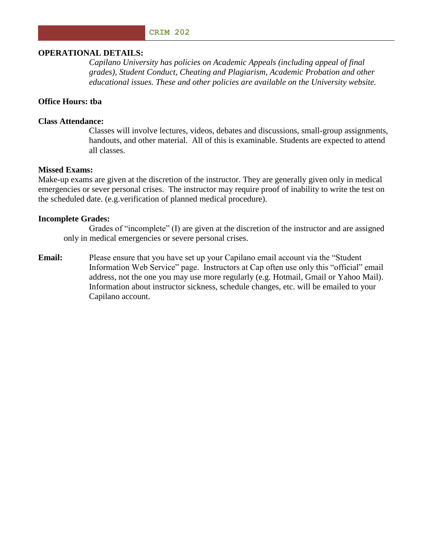#### **CRIM 202**

#### **OPERATIONAL DETAILS:**

*Capilano University has policies on Academic Appeals (including appeal of final grades), Student Conduct, Cheating and Plagiarism, Academic Probation and other educational issues. These and other policies are available on the University website.*

## **Office Hours: tba**

#### **Class Attendance:**

Classes will involve lectures, videos, debates and discussions, small-group assignments, handouts, and other material. All of this is examinable. Students are expected to attend all classes.

#### **Missed Exams:**

Make-up exams are given at the discretion of the instructor. They are generally given only in medical emergencies or sever personal crises. The instructor may require proof of inability to write the test on the scheduled date. (e.g.verification of planned medical procedure).

#### **Incomplete Grades:**

Grades of "incomplete" (I) are given at the discretion of the instructor and are assigned only in medical emergencies or severe personal crises.

**Email:** Please ensure that you have set up your Capilano email account via the "Student" Information Web Service" page. Instructors at Cap often use only this "official" email address, not the one you may use more regularly (e.g. Hotmail, Gmail or Yahoo Mail). Information about instructor sickness, schedule changes, etc. will be emailed to your Capilano account.